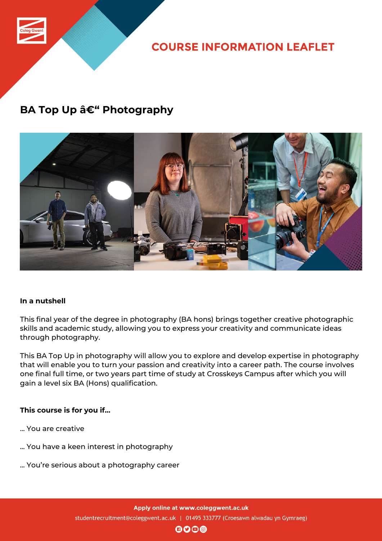

**COURSE INFORMATION LEAFLET** 

### **BA Top Up – Photography**



#### **In a nutshell**

This final year of the degree in photography (BA hons) brings together creative photographic skills and academic study, allowing you to express your creativity and communicate ideas through photography.

This BA Top Up in photography will allow you to explore and develop expertise in photography that will enable you to turn your passion and creativity into a career path. The course involves one final full time, or two years part time of study at Crosskeys Campus after which you will gain a level six BA (Hons) qualification.

#### **This course is for you if...**

- ... You are creative
- ... You have a keen interest in photography
- ... You're serious about a photography career

 $\mathbf{0}$  $\mathbf{0}$  $\mathbf{0}$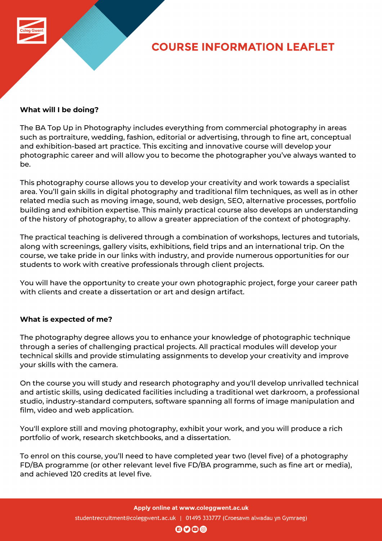

# **COURSE INFORMATION LEAFLET**

#### **What will I be doing?**

The BA Top Up in Photography includes everything from commercial photography in areas such as portraiture, wedding, fashion, editorial or advertising, through to fine art, conceptual and exhibition-based art practice. This exciting and innovative course will develop your photographic career and will allow you to become the photographer you've always wanted to be.

This photography course allows you to develop your creativity and work towards a specialist area. You'll gain skills in digital photography and traditional film techniques, as well as in other related media such as moving image, sound, web design, SEO, alternative processes, portfolio building and exhibition expertise. This mainly practical course also develops an understanding of the history of photography, to allow a greater appreciation of the context of photography.

The practical teaching is delivered through a combination of workshops, lectures and tutorials, along with screenings, gallery visits, exhibitions, field trips and an international trip. On the course, we take pride in our links with industry, and provide numerous opportunities for our students to work with creative professionals through client projects.

You will have the opportunity to create your own photographic project, forge your career path with clients and create a dissertation or art and design artifact.

#### **What is expected of me?**

The photography degree allows you to enhance your knowledge of photographic technique through a series of challenging practical projects. All practical modules will develop your technical skills and provide stimulating assignments to develop your creativity and improve your skills with the camera.

On the course you will study and research photography and you'll develop unrivalled technical and artistic skills, using dedicated facilities including a traditional wet darkroom, a professional studio, industry-standard computers, software spanning all forms of image manipulation and film, video and web application.

You'll explore still and moving photography, exhibit your work, and you will produce a rich portfolio of work, research sketchbooks, and a dissertation.

To enrol on this course, you'll need to have completed year two (level five) of a photography FD/BA programme (or other relevant level five FD/BA programme, such as fine art or media), and achieved 120 credits at level five.

 $\mathbf{\Theta}$  $\mathbf{O}$  $\mathbf{\Theta}$